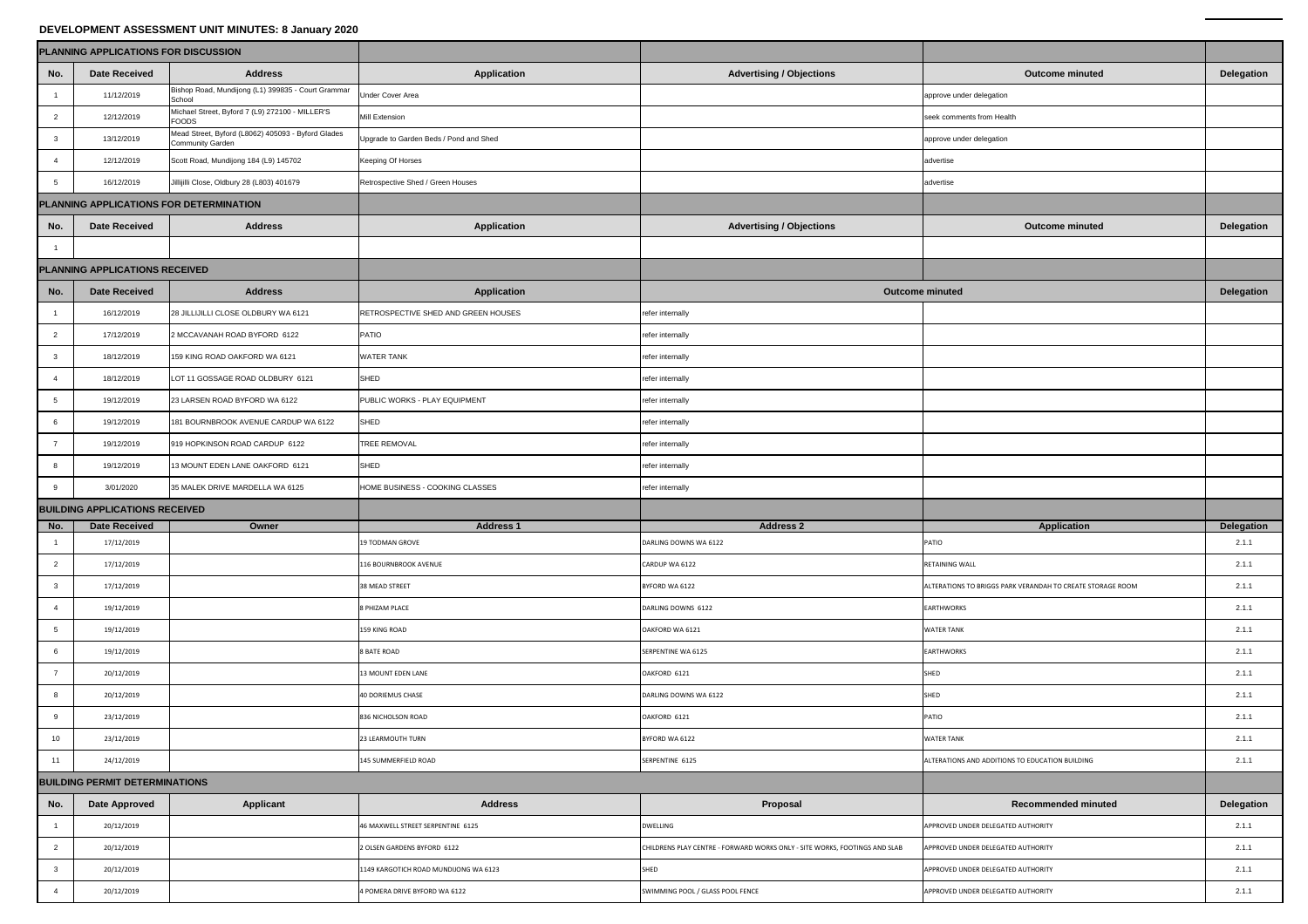## **DEVELOPMENT ASSESSMENT UNIT MINUTES: 8 January 2020**

| DEVELOPMENT ASSESSMENT UNIT MINUTES: 8 January 2020 |                      |                                                                               |                                        |                                                                            |                                                            |                   |  |  |  |  |  |
|-----------------------------------------------------|----------------------|-------------------------------------------------------------------------------|----------------------------------------|----------------------------------------------------------------------------|------------------------------------------------------------|-------------------|--|--|--|--|--|
| PLANNING APPLICATIONS FOR DISCUSSION                |                      |                                                                               |                                        |                                                                            |                                                            |                   |  |  |  |  |  |
| No.                                                 | <b>Date Received</b> | <b>Address</b>                                                                | <b>Application</b>                     | <b>Advertising / Objections</b>                                            | <b>Outcome minuted</b>                                     | <b>Delegation</b> |  |  |  |  |  |
|                                                     | 11/12/2019           | Bishop Road, Mundijong (L1) 399835 - Court Grammar<br>School                  | <b>Under Cover Area</b>                |                                                                            | approve under delegation                                   |                   |  |  |  |  |  |
|                                                     | 12/12/2019           | Michael Street, Byford 7 (L9) 272100 - MILLER'S<br><b>FOODS</b>               | <b>Mill Extension</b>                  |                                                                            | seek comments from Health                                  |                   |  |  |  |  |  |
|                                                     | 13/12/2019           | Mead Street, Byford (L8062) 405093 - Byford Glades<br><b>Community Garden</b> | Upgrade to Garden Beds / Pond and Shed |                                                                            | approve under delegation                                   |                   |  |  |  |  |  |
|                                                     | 12/12/2019           | Scott Road, Mundijong 184 (L9) 145702                                         | <b>Keeping Of Horses</b>               |                                                                            | advertise                                                  |                   |  |  |  |  |  |
|                                                     | 16/12/2019           | Jillijilli Close, Oldbury 28 (L803) 401679                                    | Retrospective Shed / Green Houses      |                                                                            | advertise                                                  |                   |  |  |  |  |  |
| PLANNING APPLICATIONS FOR DETERMINATION             |                      |                                                                               |                                        |                                                                            |                                                            |                   |  |  |  |  |  |
| No.                                                 | <b>Date Received</b> | <b>Address</b>                                                                | <b>Application</b>                     | <b>Advertising / Objections</b>                                            | <b>Outcome minuted</b>                                     | <b>Delegation</b> |  |  |  |  |  |
|                                                     |                      |                                                                               |                                        |                                                                            |                                                            |                   |  |  |  |  |  |
| PLANNING APPLICATIONS RECEIVED                      |                      |                                                                               |                                        |                                                                            |                                                            |                   |  |  |  |  |  |
| No.                                                 | <b>Date Received</b> | <b>Address</b>                                                                | <b>Application</b>                     | <b>Outcome minuted</b>                                                     |                                                            | <b>Delegation</b> |  |  |  |  |  |
|                                                     | 16/12/2019           | 28 JILLIJILLI CLOSE OLDBURY WA 6121                                           | RETROSPECTIVE SHED AND GREEN HOUSES    | refer internally                                                           |                                                            |                   |  |  |  |  |  |
|                                                     | 17/12/2019           | 2 MCCAVANAH ROAD BYFORD 6122                                                  | <b>PATIO</b>                           | refer internally                                                           |                                                            |                   |  |  |  |  |  |
|                                                     | 18/12/2019           | 159 KING ROAD OAKFORD WA 6121                                                 | <b>WATER TANK</b>                      | refer internally                                                           |                                                            |                   |  |  |  |  |  |
|                                                     | 18/12/2019           | LOT 11 GOSSAGE ROAD OLDBURY 6121                                              | <b>SHED</b>                            | refer internally                                                           |                                                            |                   |  |  |  |  |  |
| 5                                                   | 19/12/2019           | 23 LARSEN ROAD BYFORD WA 6122                                                 | PUBLIC WORKS - PLAY EQUIPMENT          | refer internally                                                           |                                                            |                   |  |  |  |  |  |
|                                                     | 19/12/2019           | 181 BOURNBROOK AVENUE CARDUP WA 6122                                          | <b>SHED</b>                            | refer internally                                                           |                                                            |                   |  |  |  |  |  |
|                                                     | 19/12/2019           | 919 HOPKINSON ROAD CARDUP 6122                                                | <b>TREE REMOVAL</b>                    | refer internally                                                           |                                                            |                   |  |  |  |  |  |
|                                                     | 19/12/2019           | 13 MOUNT EDEN LANE OAKFORD 6121                                               | <b>SHED</b>                            | refer internally                                                           |                                                            |                   |  |  |  |  |  |
|                                                     | 3/01/2020            | 35 MALEK DRIVE MARDELLA WA 6125                                               | HOME BUSINESS - COOKING CLASSES        | refer internally                                                           |                                                            |                   |  |  |  |  |  |
| <b>BUILDING APPLICATIONS RECEIVED</b>               |                      |                                                                               |                                        |                                                                            |                                                            |                   |  |  |  |  |  |
| No.                                                 | <b>Date Received</b> | Owner                                                                         | <b>Address 1</b>                       | <b>Address 2</b>                                                           | <b>Application</b>                                         | <b>Delegation</b> |  |  |  |  |  |
|                                                     | 17/12/2019           |                                                                               | 19 TODMAN GROVE                        | DARLING DOWNS WA 6122                                                      | PATIO                                                      | 2.1.1             |  |  |  |  |  |
|                                                     | 17/12/2019           |                                                                               | 116 BOURNBROOK AVENUE                  | CARDUP WA 6122                                                             | RETAINING WALL                                             | 2.1.1             |  |  |  |  |  |
|                                                     | 17/12/2019           |                                                                               | 38 MEAD STREET                         | BYFORD WA 6122                                                             | ALTERATIONS TO BRIGGS PARK VERANDAH TO CREATE STORAGE ROOM | 2.1.1             |  |  |  |  |  |
|                                                     | 19/12/2019           |                                                                               | 8 PHIZAM PLACE                         | DARLING DOWNS 6122                                                         | <b>EARTHWORKS</b>                                          | 2.1.1             |  |  |  |  |  |
|                                                     | 19/12/2019           |                                                                               | 159 KING ROAD                          | OAKFORD WA 6121                                                            | <b>WATER TANK</b>                                          | 2.1.1             |  |  |  |  |  |
|                                                     | 19/12/2019           |                                                                               | <b>8 BATE ROAD</b>                     | SERPENTINE WA 6125                                                         | <b>EARTHWORKS</b>                                          | 2.1.1             |  |  |  |  |  |
|                                                     | 20/12/2019           |                                                                               | <b>13 MOUNT EDEN LANE</b>              | OAKFORD 6121                                                               | SHED                                                       | 2.1.1             |  |  |  |  |  |
|                                                     | 20/12/2019           |                                                                               | 40 DORIEMUS CHASE                      | DARLING DOWNS WA 6122                                                      | <b>SHED</b>                                                | 2.1.1             |  |  |  |  |  |
|                                                     | 23/12/2019           |                                                                               | 836 NICHOLSON ROAD                     | OAKFORD 6121                                                               | <b>PATIO</b>                                               | 2.1.1             |  |  |  |  |  |
| 10 <sup>1</sup>                                     | 23/12/2019           |                                                                               | 23 LEARMOUTH TURN                      | BYFORD WA 6122                                                             | <b>WATER TANK</b>                                          | 2.1.1             |  |  |  |  |  |
| 24/12/2019<br>11                                    |                      |                                                                               | 145 SUMMERFIELD ROAD                   | SERPENTINE 6125                                                            | ALTERATIONS AND ADDITIONS TO EDUCATION BUILDING            | 2.1.1             |  |  |  |  |  |
| <b>BUILDING PERMIT DETERMINATIONS</b>               |                      |                                                                               |                                        |                                                                            |                                                            |                   |  |  |  |  |  |
| No.                                                 | <b>Date Approved</b> | <b>Applicant</b>                                                              | <b>Address</b>                         | <b>Proposal</b>                                                            | <b>Recommended minuted</b>                                 | <b>Delegation</b> |  |  |  |  |  |
|                                                     | 20/12/2019           |                                                                               | 46 MAXWELL STREET SERPENTINE 6125      | <b>DWELLING</b>                                                            | APPROVED UNDER DELEGATED AUTHORITY                         | 2.1.1             |  |  |  |  |  |
|                                                     | 20/12/2019           |                                                                               | 2 OLSEN GARDENS BYFORD 6122            | CHILDRENS PLAY CENTRE - FORWARD WORKS ONLY - SITE WORKS, FOOTINGS AND SLAB | APPROVED UNDER DELEGATED AUTHORITY                         | 2.1.1             |  |  |  |  |  |
|                                                     | 20/12/2019           |                                                                               | 1149 KARGOTICH ROAD MUNDIJONG WA 6123  | SHED                                                                       | APPROVED UNDER DELEGATED AUTHORITY                         | 2.1.1             |  |  |  |  |  |
|                                                     | 20/12/2019           |                                                                               | 4 POMERA DRIVE BYFORD WA 6122          | SWIMMING POOL / GLASS POOL FENCE                                           | APPROVED UNDER DELEGATED AUTHORITY                         | 2.1.1             |  |  |  |  |  |